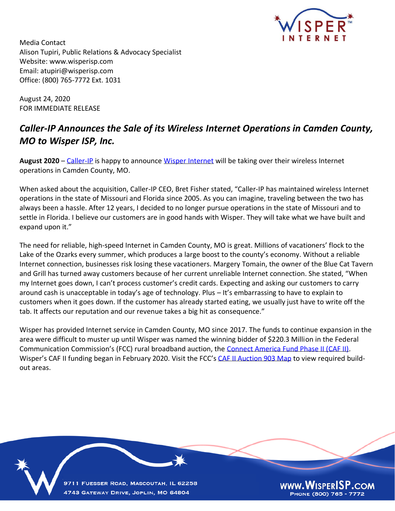

Media Contact Alison Tupiri, Public Relations & Advocacy Specialist Website: www.wisperisp.com Email: atupiri@wisperisp.com Office: (800) 765-7772 Ext. 1031

August 24, 2020 FOR IMMEDIATE RELEASE

## *Caller-IP Announces the Sale of its Wireless Internet Operations in Camden County, MO to Wisper ISP, Inc.*

**August 2020** – [Caller-IP](http://www.caller-ip.com/) is happy to announce [Wisper Internet](http://www.wisperisp.com/) will be taking over their wireless Internet operations in Camden County, MO.

When asked about the acquisition, Caller-IP CEO, Bret Fisher stated, "Caller-IP has maintained wireless Internet operations in the state of Missouri and Florida since 2005. As you can imagine, traveling between the two has always been a hassle. After 12 years, I decided to no longer pursue operations in the state of Missouri and to settle in Florida. I believe our customers are in good hands with Wisper. They will take what we have built and expand upon it."

The need for reliable, high-speed Internet in Camden County, MO is great. Millions of vacationers' flock to the Lake of the Ozarks every summer, which produces a large boost to the county's economy. Without a reliable Internet connection, businesses risk losing these vacationers. Margery Tomain, the owner of the Blue Cat Tavern and Grill has turned away customers because of her current unreliable Internet connection. She stated, "When my Internet goes down, I can't process customer's credit cards. Expecting and asking our customers to carry around cash is unacceptable in today's age of technology. Plus – It's embarrassing to have to explain to customers when it goes down. If the customer has already started eating, we usually just have to write off the tab. It affects our reputation and our revenue takes a big hit as consequence."

Wisper has provided Internet service in Camden County, MO since 2017. The funds to continue expansion in the area were difficult to muster up until Wisper was named the winning bidder of \$220.3 Million in the Federal Communication Commission's (FCC) rural broadband auction, the [Connect America Fund Phase II \(CAF II\).](https://www.fcc.gov/consumers/guides/connect-america-fund-phase-ii-faqs) Wisper's CAF II funding began in February 2020. Visit the FCC's [CAF II Auction 903 Map](https://www.fcc.gov/reports-research/maps/caf2-auction903-results/) to view required buildout areas.

9711 FUESSER ROAD, MASCOUTAH, IL 62258 4743 GATEWAY DRIVE, JOPLIN, MO 64804

WWW.WISPERISP.COM PHONE (800) 765 - 7772